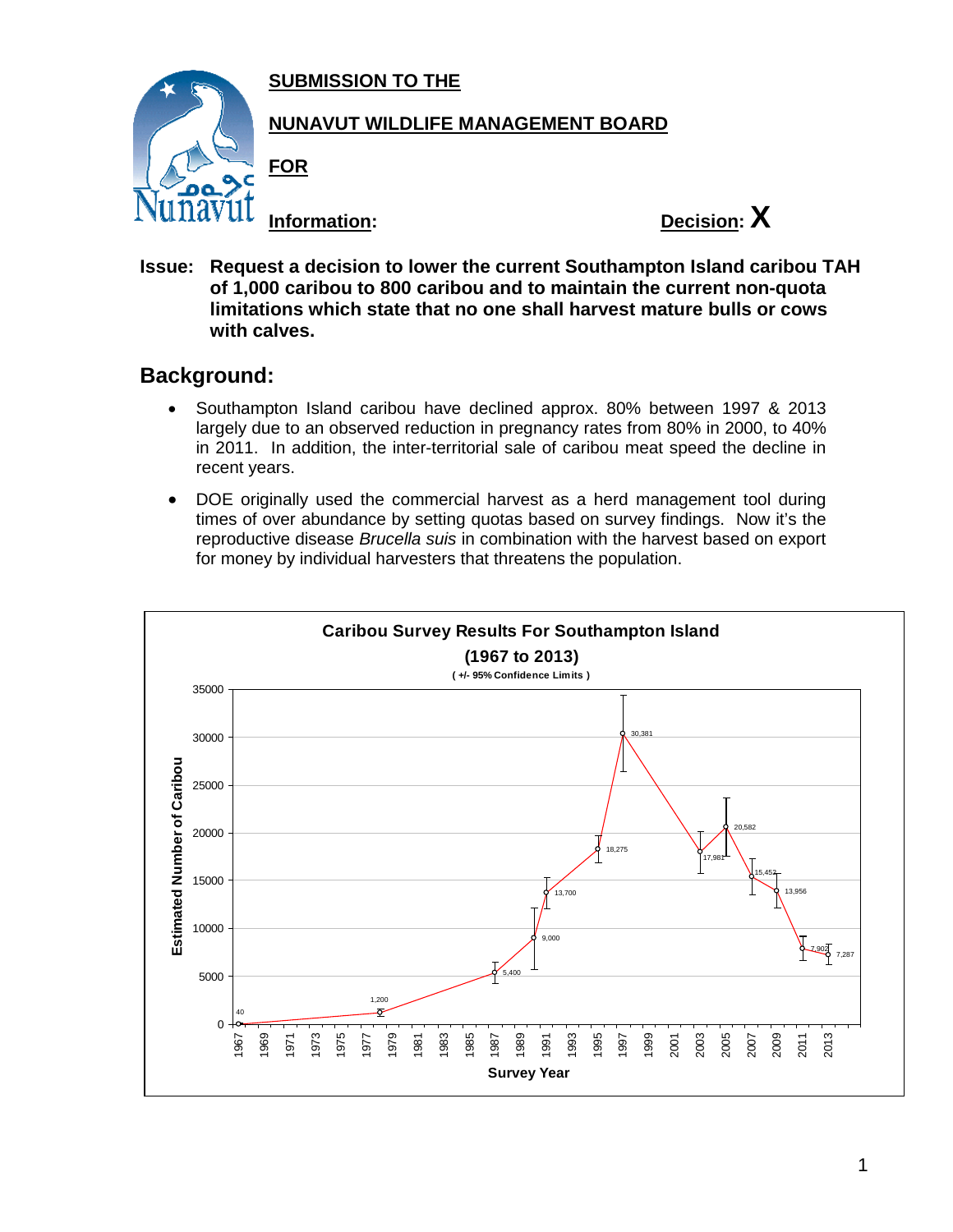**SUBMISSION TO THE**



## **NUNAVUT WILDLIFE MANAGEMENT BOARD**

**FOR**



**Issue: Request a decision to lower the current Southampton Island caribou TAH of 1,000 caribou to 800 caribou and to maintain the current non-quota limitations which state that no one shall harvest mature bulls or cows with calves.**

## **Background:**

- Southampton Island caribou have declined approx. 80% between 1997 & 2013 largely due to an observed reduction in pregnancy rates from 80% in 2000, to 40% in 2011. In addition, the inter-territorial sale of caribou meat speed the decline in recent years.
- DOE originally used the commercial harvest as a herd management tool during times of over abundance by setting quotas based on survey findings. Now it's the reproductive disease *Brucella suis* in combination with the harvest based on export for money by individual harvesters that threatens the population.

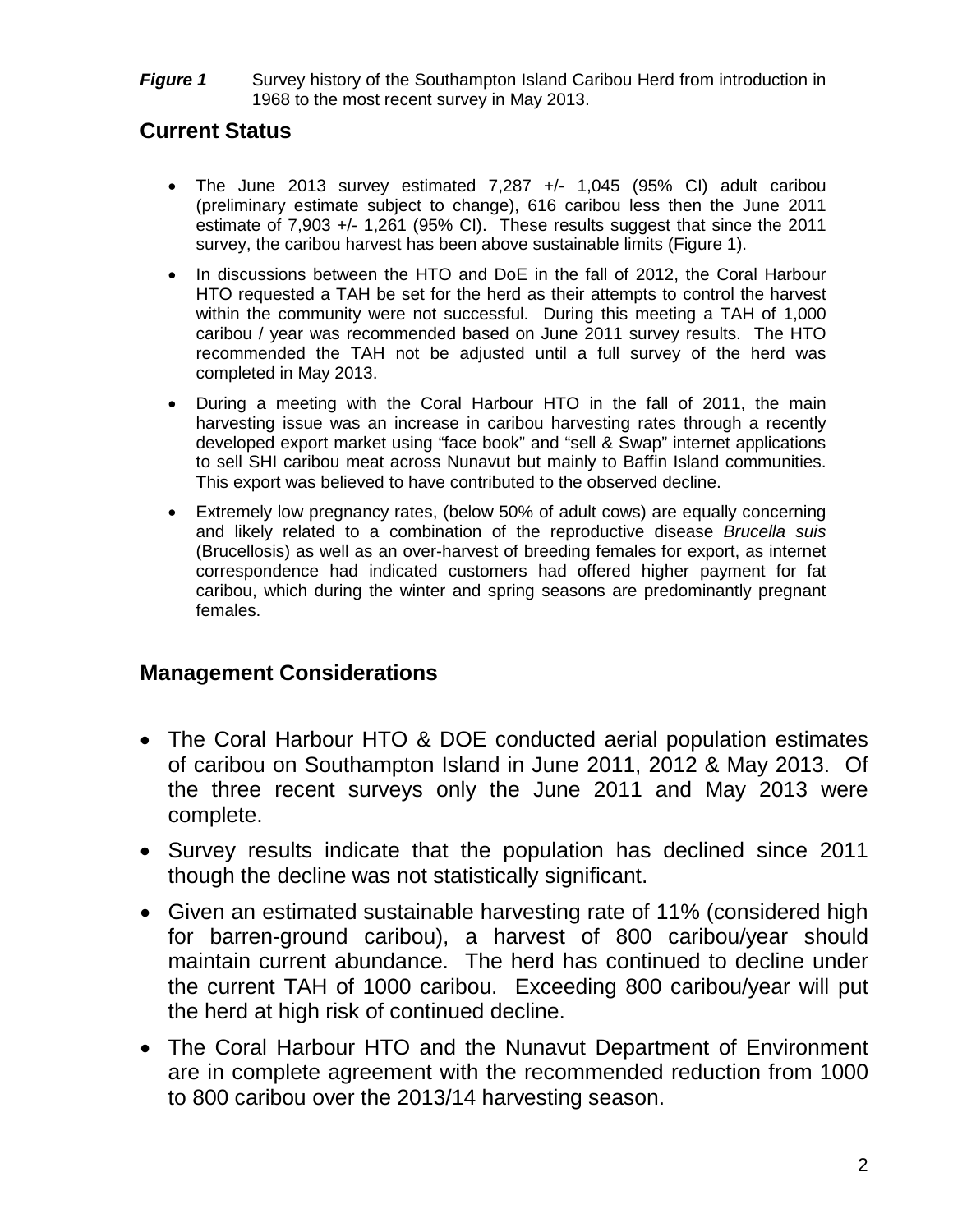**Figure 1** Survey history of the Southampton Island Caribou Herd from introduction in 1968 to the most recent survey in May 2013.

## **Current Status**

- The June 2013 survey estimated 7,287 +/- 1,045 (95% CI) adult caribou (preliminary estimate subject to change), 616 caribou less then the June 2011 estimate of 7,903 +/- 1,261 (95% CI). These results suggest that since the 2011 survey, the caribou harvest has been above sustainable limits (Figure 1).
- In discussions between the HTO and DoE in the fall of 2012, the Coral Harbour HTO requested a TAH be set for the herd as their attempts to control the harvest within the community were not successful. During this meeting a TAH of 1,000 caribou / year was recommended based on June 2011 survey results. The HTO recommended the TAH not be adjusted until a full survey of the herd was completed in May 2013.
- During a meeting with the Coral Harbour HTO in the fall of 2011, the main harvesting issue was an increase in caribou harvesting rates through a recently developed export market using "face book" and "sell & Swap" internet applications to sell SHI caribou meat across Nunavut but mainly to Baffin Island communities. This export was believed to have contributed to the observed decline.
- Extremely low pregnancy rates, (below 50% of adult cows) are equally concerning and likely related to a combination of the reproductive disease *Brucella suis* (Brucellosis) as well as an over-harvest of breeding females for export, as internet correspondence had indicated customers had offered higher payment for fat caribou, which during the winter and spring seasons are predominantly pregnant females.

## **Management Considerations**

- The Coral Harbour HTO & DOE conducted aerial population estimates of caribou on Southampton Island in June 2011, 2012 & May 2013. Of the three recent surveys only the June 2011 and May 2013 were complete.
- Survey results indicate that the population has declined since 2011 though the decline was not statistically significant.
- Given an estimated sustainable harvesting rate of 11% (considered high for barren-ground caribou), a harvest of 800 caribou/year should maintain current abundance. The herd has continued to decline under the current TAH of 1000 caribou. Exceeding 800 caribou/year will put the herd at high risk of continued decline.
- The Coral Harbour HTO and the Nunavut Department of Environment are in complete agreement with the recommended reduction from 1000 to 800 caribou over the 2013/14 harvesting season.